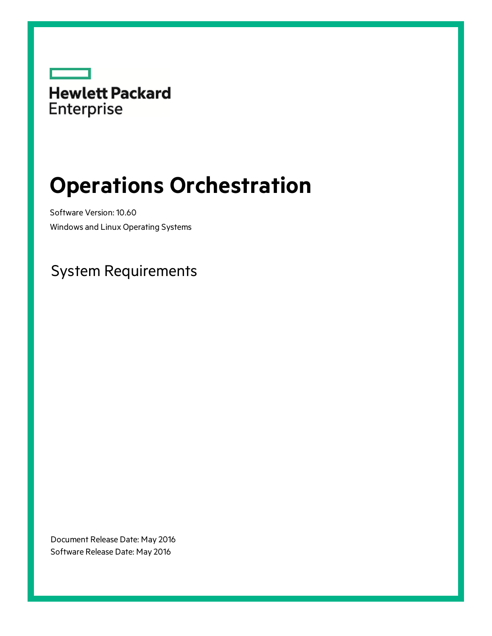

# **Operations Orchestration**

Software Version: 10.60 Windows and Linux Operating Systems

### System Requirements

Document Release Date: May 2016 Software Release Date: May 2016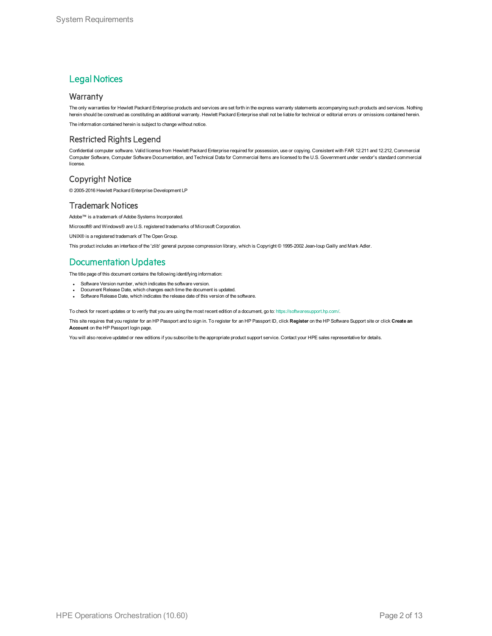### **Legal Notices**

#### **Warranty**

The only warranties for Hewlett Packard Enterprise products and services are set forth in the express warranty statements accompanying such products and services. Nothing herein should be construed as constituting an additional warranty. Hewlett Packard Enterprise shall not be liable for technical or editorial errors or omissions contained herein.

The information contained herein is subject to change without notice.

### Restricted Rights Legend

Confidential computer software. Valid license from Hewlett Packard Enterprise required for possession, use or copying. Consistent with FAR 12.211 and 12.212, Commercial Computer Software, Computer Software Documentation, and Technical Data for Commercial Items are licensed to the U.S. Government under vendor's standard commercial license.

### Copyright Notice

© 2005-2016 Hewlett Packard Enterprise Development LP

#### Trademark Notices

Adobe™ is a trademark of Adobe Systems Incorporated. Microsoft® and Windows® are U.S. registered trademarks of Microsoft Corporation.

UNIX® is a registered trademark of The Open Group.

This product includes an interface of the 'zlib' general purpose compression library, which is Copyright © 1995-2002 Jean-loup Gailly and Mark Adler.

### Documentation Updates

The title page of this document contains the following identifying information:

- Software Version number, which indicates the software version.
- <sup>l</sup> Document Release Date, which changes each time the document is updated.
- Software Release Date, which indicates the release date of this version of the software.

To check for recent updates or to verify that you are using the most recent edition of a document, go to: <https://softwaresupport.hp.com/>.

This site requires that you register for an HP Passport and to sign in. To register for an HP Passport ID, click **Register** on the HP Software Support site or click **Create an Account** on the HP Passport login page.

You will also receive updated or new editions if you subscribe to the appropriate product support service. Contact your HPE sales representative for details.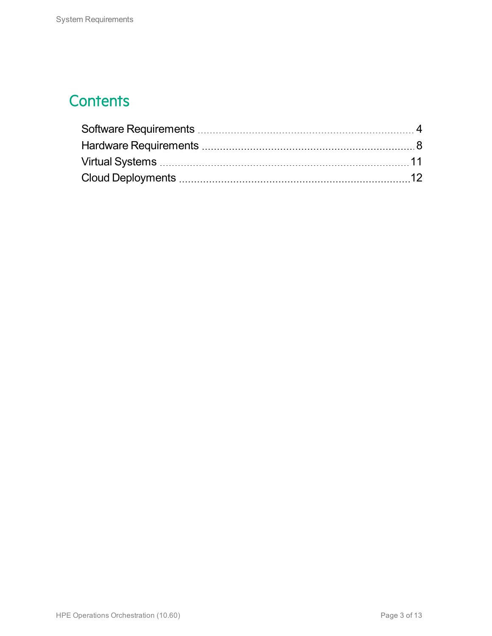## **Contents**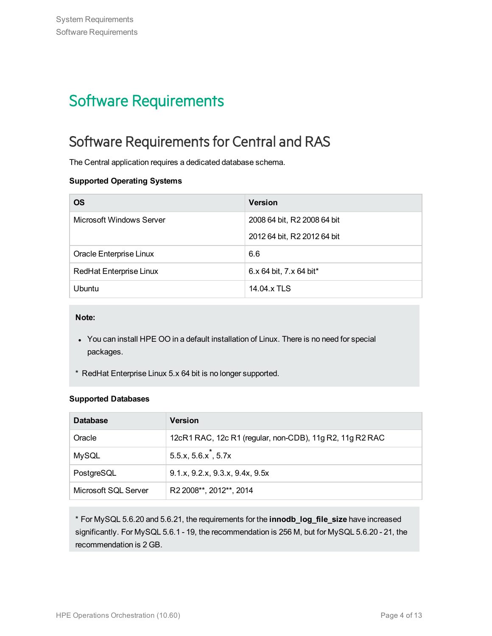# <span id="page-3-0"></span>Software Requirements

### Software Requirements for Central and RAS

The Central application requires a dedicated database schema.

#### **Supported Operating Systems**

| <b>OS</b>                      | <b>Version</b>              |
|--------------------------------|-----------------------------|
| Microsoft Windows Server       | 2008 64 bit, R2 2008 64 bit |
|                                | 2012 64 bit, R2 2012 64 bit |
| Oracle Enterprise Linux        | 6.6                         |
| <b>RedHat Enterprise Linux</b> | 6.x 64 bit, 7.x 64 bit*     |
| <b>Ubuntu</b>                  | 14.04.x TLS                 |

**Note:**

- You can install HPE OO in a default installation of Linux. There is no need for special packages.
- \* RedHat Enterprise Linux 5.x 64 bit is no longer supported.

#### **Supported Databases**

| <b>Database</b>      | <b>Version</b>                                           |
|----------------------|----------------------------------------------------------|
| Oracle               | 12cR1 RAC, 12c R1 (regular, non-CDB), 11g R2, 11g R2 RAC |
| <b>MySQL</b>         | $5.5.x, 5.6.x^*$ , 5.7x                                  |
| PostgreSQL           | 9.1.x, 9.2.x, 9.3.x, 9.4x, 9.5x                          |
| Microsoft SQL Server | R2 2008**, 2012**, 2014                                  |

\* For MySQL 5.6.20 and 5.6.21, the requirements for the **innodb\_log\_file\_size** have increased significantly. For MySQL 5.6.1 - 19, the recommendation is 256 M, but for MySQL 5.6.20 - 21, the recommendation is 2 GB.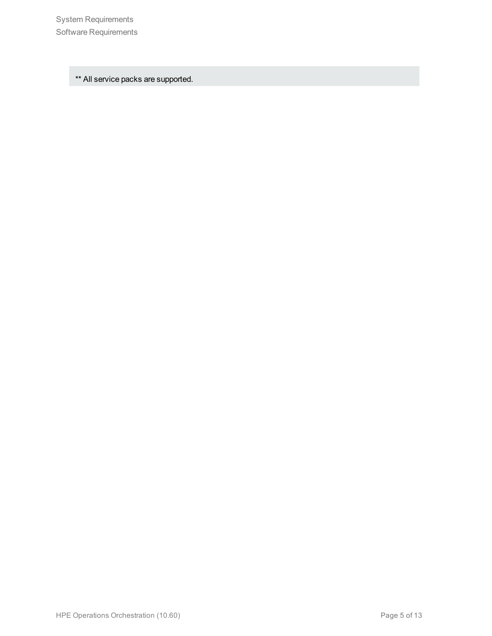System Requirements Software Requirements

\*\* All service packs are supported.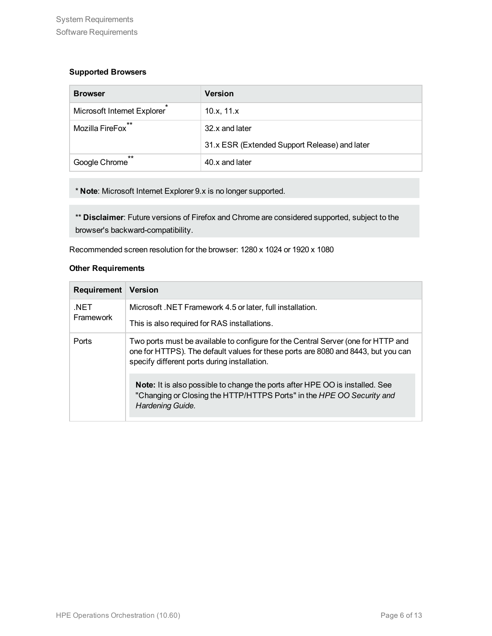#### **Supported Browsers**

| <b>Browser</b>              | <b>Version</b>                                |
|-----------------------------|-----------------------------------------------|
| Microsoft Internet Explorer | 10.x, 11.x                                    |
| $**$<br>Mozilla FireFox     | 32.x and later                                |
|                             | 31.x ESR (Extended Support Release) and later |
| $**$<br>Google Chrome       | 40.x and later                                |

\* **Note**: Microsoft Internet Explorer 9.x is no longer supported.

\*\* **Disclaimer**: Future versions of Firefox and Chrome are considered supported, subject to the browser's backward-compatibility.

Recommended screen resolution for the browser: 1280 x 1024 or 1920 x 1080

#### **Other Requirements**

| Requirement       | <b>Version</b>                                                                                                                                                                                                         |
|-------------------|------------------------------------------------------------------------------------------------------------------------------------------------------------------------------------------------------------------------|
| .NET<br>Framework | Microsoft .NET Framework 4.5 or later, full installation.                                                                                                                                                              |
|                   | This is also required for RAS installations.                                                                                                                                                                           |
| Ports             | Two ports must be available to configure for the Central Server (one for HTTP and<br>one for HTTPS). The default values for these ports are 8080 and 8443, but you can<br>specify different ports during installation. |
|                   | <b>Note:</b> It is also possible to change the ports after HPE OO is installed. See<br>"Changing or Closing the HTTP/HTTPS Ports" in the HPE OO Security and<br>Hardening Guide.                                       |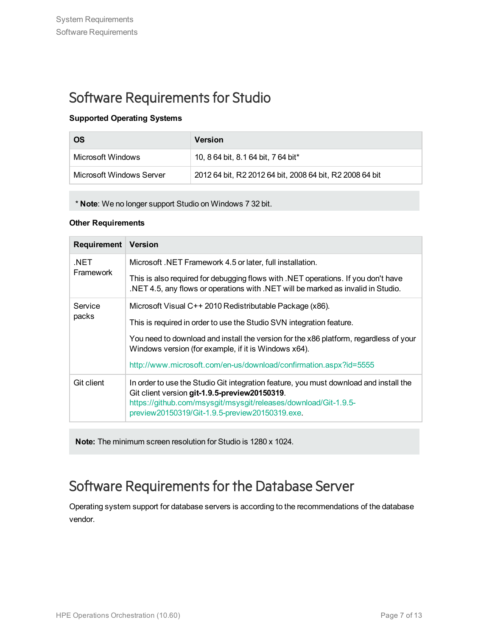### Software Requirements for Studio

#### **Supported Operating Systems**

| <b>OS</b>                | <b>Version</b>                                           |
|--------------------------|----------------------------------------------------------|
| Microsoft Windows        | 10, 8 64 bit, 8.1 64 bit, 7 64 bit*                      |
| Microsoft Windows Server | 2012 64 bit, R2 2012 64 bit, 2008 64 bit, R2 2008 64 bit |

\* **Note**: We no longer support Studio on Windows 7 32 bit.

#### **Other Requirements**

| Requirement       | <b>Version</b>                                                                                                                                                                                                                                              |
|-------------------|-------------------------------------------------------------------------------------------------------------------------------------------------------------------------------------------------------------------------------------------------------------|
| .NET<br>Framework | Microsoft .NET Framework 4.5 or later, full installation.                                                                                                                                                                                                   |
|                   | This is also required for debugging flows with .NET operations. If you don't have<br>.NET 4.5, any flows or operations with .NET will be marked as invalid in Studio.                                                                                       |
| Service<br>packs  | Microsoft Visual C++ 2010 Redistributable Package (x86).                                                                                                                                                                                                    |
|                   | This is required in order to use the Studio SVN integration feature.                                                                                                                                                                                        |
|                   | You need to download and install the version for the x86 platform, regardless of your<br>Windows version (for example, if it is Windows x64).                                                                                                               |
|                   | http://www.microsoft.com/en-us/download/confirmation.aspx?id=5555                                                                                                                                                                                           |
| Git client        | In order to use the Studio Git integration feature, you must download and install the<br>Git client version git-1.9.5-preview20150319.<br>https://github.com/msysgit/msysgit/releases/download/Git-1.9.5-<br>preview20150319/Git-1.9.5-preview20150319.exe. |

**Note:** The minimum screen resolution for Studio is 1280 x 1024.

### Software Requirements for the Database Server

Operating system support for database servers is according to the recommendations of the database vendor.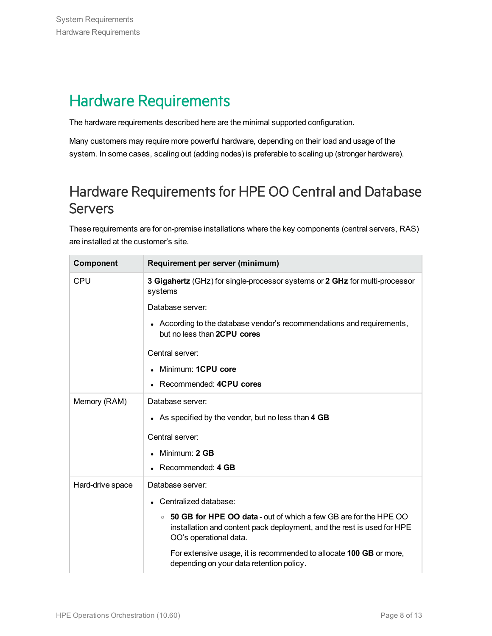### <span id="page-7-0"></span>Hardware Requirements

The hardware requirements described here are the minimal supported configuration.

Many customers may require more powerful hardware, depending on their load and usage of the system. In some cases, scaling out (adding nodes) is preferable to scaling up (stronger hardware).

### Hardware Requirements for HPE OO Central and Database **Servers**

These requirements are for on-premise installations where the key components (central servers, RAS) are installed at the customer's site.

| Component        | Requirement per server (minimum)                                                                                                                                                |
|------------------|---------------------------------------------------------------------------------------------------------------------------------------------------------------------------------|
| <b>CPU</b>       | 3 Gigahertz (GHz) for single-processor systems or 2 GHz for multi-processor<br>systems                                                                                          |
|                  | Database server:                                                                                                                                                                |
|                  | • According to the database vendor's recommendations and requirements,<br>but no less than 2CPU cores                                                                           |
|                  | Central server:                                                                                                                                                                 |
|                  | Minimum: 1CPU core<br>$\bullet$                                                                                                                                                 |
|                  | Recommended: 4CPU cores                                                                                                                                                         |
| Memory (RAM)     | Database server:                                                                                                                                                                |
|                  | • As specified by the vendor, but no less than 4 GB                                                                                                                             |
|                  | Central server:                                                                                                                                                                 |
|                  | Minimum: 2 GB                                                                                                                                                                   |
|                  | Recommended: 4 GB                                                                                                                                                               |
| Hard-drive space | Database server:                                                                                                                                                                |
|                  | Centralized database:                                                                                                                                                           |
|                  | 50 GB for HPE OO data - out of which a few GB are for the HPE OO<br>$\circ$<br>installation and content pack deployment, and the rest is used for HPE<br>OO's operational data. |
|                  | For extensive usage, it is recommended to allocate 100 GB or more,<br>depending on your data retention policy.                                                                  |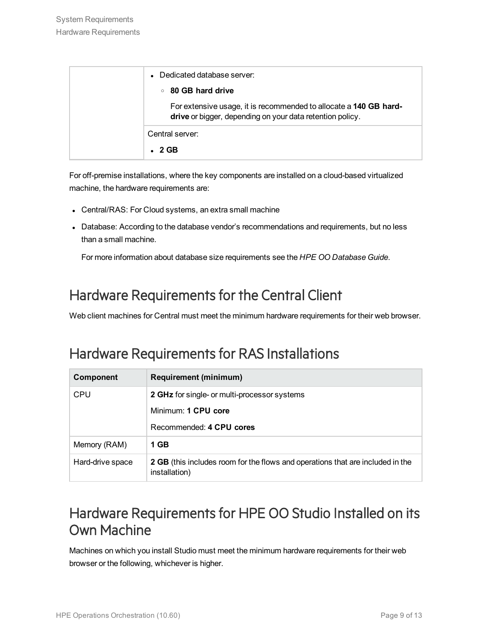| Dedicated database server:                                                                                                     |
|--------------------------------------------------------------------------------------------------------------------------------|
| ○ 80 GB hard drive                                                                                                             |
| For extensive usage, it is recommended to allocate a 140 GB hard-<br>drive or bigger, depending on your data retention policy. |
| Central server:                                                                                                                |
| $\cdot$ 2 GB                                                                                                                   |

For off-premise installations, where the key components are installed on a cloud-based virtualized machine, the hardware requirements are:

- Central/RAS: For Cloud systems, an extra small machine
- Database: According to the database vendor's recommendations and requirements, but no less than a small machine.

For more information about database size requirements see the *HPE OO Database Guide*.

### Hardware Requirements for the Central Client

Web client machines for Central must meet the minimum hardware requirements for their web browser.

### Hardware Requirements for RAS Installations

| Component        | <b>Requirement (minimum)</b>                                                                           |
|------------------|--------------------------------------------------------------------------------------------------------|
| <b>CPU</b>       | <b>2 GHz</b> for single- or multi-processor systems                                                    |
|                  | Minimum: 1 CPU core                                                                                    |
|                  | Recommended: 4 CPU cores                                                                               |
| Memory (RAM)     | 1 GB                                                                                                   |
| Hard-drive space | <b>2 GB</b> (this includes room for the flows and operations that are included in the<br>installation) |

### Hardware Requirements for HPE OO Studio Installed on its Own Machine

Machines on which you install Studio must meet the minimum hardware requirements for their web browser or the following, whichever is higher.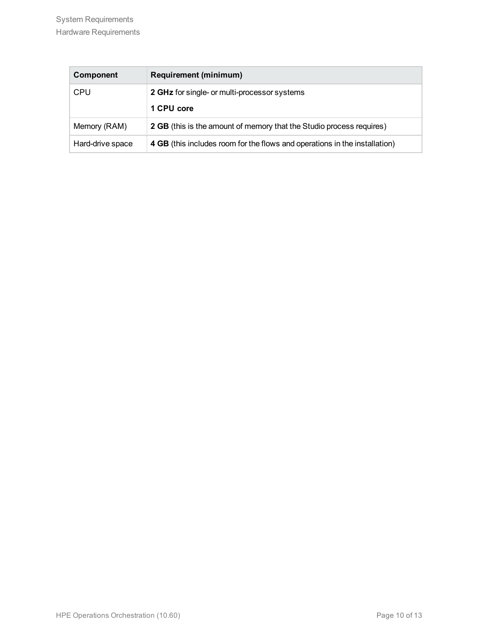| Component        | <b>Requirement (minimum)</b>                                               |
|------------------|----------------------------------------------------------------------------|
| <b>CPU</b>       | 2 GHz for single- or multi-processor systems                               |
|                  | 1 CPU core                                                                 |
| Memory (RAM)     | 2 GB (this is the amount of memory that the Studio process requires)       |
| Hard-drive space | 4 GB (this includes room for the flows and operations in the installation) |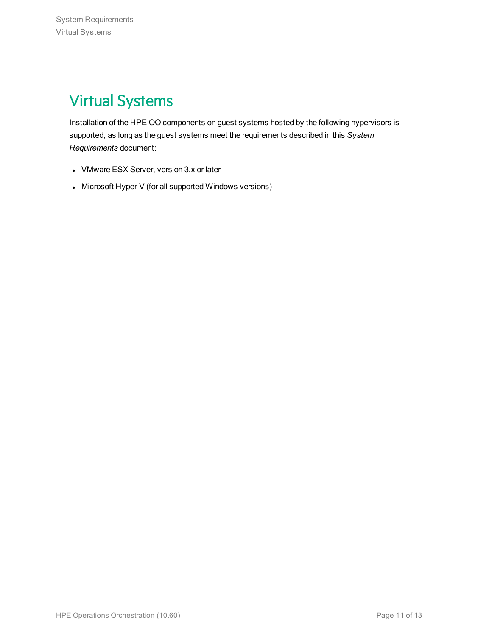# <span id="page-10-0"></span>Virtual Systems

Installation of the HPE OO components on guest systems hosted by the following hypervisors is supported, as long as the guest systems meet the requirements described in this *System Requirements* document:

- VMware ESX Server, version 3.x or later
- Microsoft Hyper-V (for all supported Windows versions)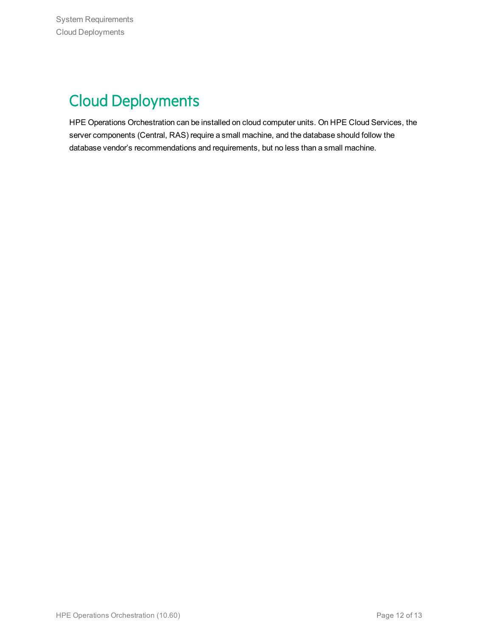# <span id="page-11-0"></span>Cloud Deployments

HPE Operations Orchestration can be installed on cloud computer units. On HPE Cloud Services, the server components (Central, RAS) require a small machine, and the database should follow the database vendor's recommendations and requirements, but no less than a small machine.